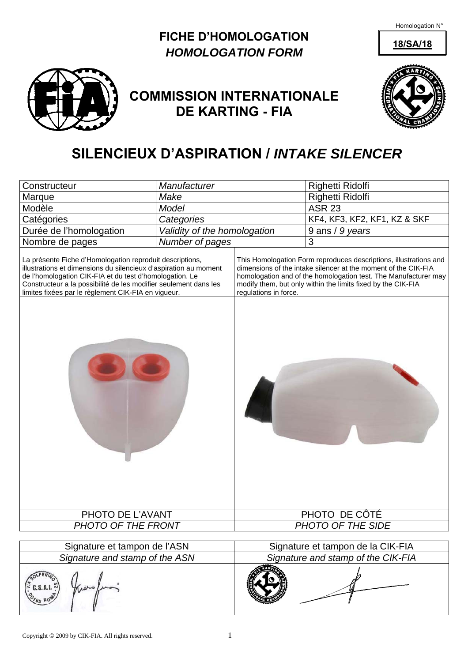Homologation N°

## **FICHE D'HOMOLOGATION** 18/SA/18 *HOMOLOGATION FORM*



## **COMMISSION INTERNATIONALE DE KARTING - FIA**



## **SILENCIEUX D'ASPIRATION /** *INTAKE SILENCER*

| Constructeur                                                                                                                                                                                                                                                                                                       | Manufacturer                       |                       | Righetti Ridolfi                                                                                                                                                                                                                                                       |
|--------------------------------------------------------------------------------------------------------------------------------------------------------------------------------------------------------------------------------------------------------------------------------------------------------------------|------------------------------------|-----------------------|------------------------------------------------------------------------------------------------------------------------------------------------------------------------------------------------------------------------------------------------------------------------|
| Marque                                                                                                                                                                                                                                                                                                             | Make                               |                       | Righetti Ridolfi                                                                                                                                                                                                                                                       |
| Modèle                                                                                                                                                                                                                                                                                                             | Model                              |                       | <b>ASR 23</b>                                                                                                                                                                                                                                                          |
| Catégories                                                                                                                                                                                                                                                                                                         | Categories                         |                       | KF4, KF3, KF2, KF1, KZ & SKF                                                                                                                                                                                                                                           |
| Durée de l'homologation                                                                                                                                                                                                                                                                                            | Validity of the homologation       |                       | 9 ans / 9 years                                                                                                                                                                                                                                                        |
| Nombre de pages                                                                                                                                                                                                                                                                                                    | Number of pages                    |                       | 3                                                                                                                                                                                                                                                                      |
| La présente Fiche d'Homologation reproduit descriptions,<br>illustrations et dimensions du silencieux d'aspiration au moment<br>de l'homologation CIK-FIA et du test d'homologation. Le<br>Constructeur a la possibilité de les modifier seulement dans les<br>limites fixées par le règlement CIK-FIA en vigueur. |                                    | regulations in force. | This Homologation Form reproduces descriptions, illustrations and<br>dimensions of the intake silencer at the moment of the CIK-FIA<br>homologation and of the homologation test. The Manufacturer may<br>modify them, but only within the limits fixed by the CIK-FIA |
| PHOTO DE L'AVANT<br>PHOTO OF THE FRONT                                                                                                                                                                                                                                                                             | PHOTO DE CÔTÉ<br>PHOTO OF THE SIDE |                       |                                                                                                                                                                                                                                                                        |
|                                                                                                                                                                                                                                                                                                                    |                                    |                       |                                                                                                                                                                                                                                                                        |
| Signature et tampon de l'ASN                                                                                                                                                                                                                                                                                       |                                    |                       | Signature et tampon de la CIK-FIA                                                                                                                                                                                                                                      |
| Signature and stamp of the ASN                                                                                                                                                                                                                                                                                     |                                    |                       | Signature and stamp of the CIK-FIA                                                                                                                                                                                                                                     |
| C.S.A.I.                                                                                                                                                                                                                                                                                                           |                                    |                       |                                                                                                                                                                                                                                                                        |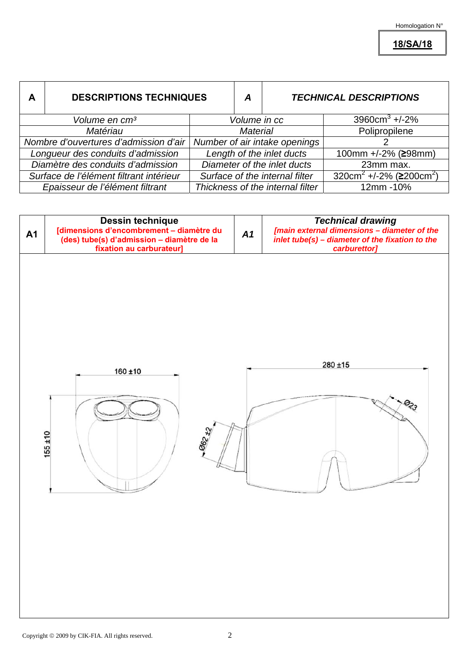**18/SA/18**

| A                                       | <b>DESCRIPTIONS TECHNIQUES</b>        |                                  | A               |                                          | <b>TECHNICAL DESCRIPTIONS</b>                          |
|-----------------------------------------|---------------------------------------|----------------------------------|-----------------|------------------------------------------|--------------------------------------------------------|
| Volume en cm <sup>3</sup>               |                                       |                                  |                 | $3960 \text{cm}^3 + 2\%$<br>Volume in cc |                                                        |
|                                         | Matériau                              |                                  | <b>Material</b> |                                          | Polipropilene                                          |
|                                         | Nombre d'ouvertures d'admission d'air |                                  |                 | Number of air intake openings            |                                                        |
| Longueur des conduits d'admission       |                                       | Length of the inlet ducts        |                 |                                          | 100mm +/-2% (≥98mm)                                    |
| Diamètre des conduits d'admission       |                                       | Diameter of the inlet ducts      |                 |                                          | 23mm max.                                              |
| Surface de l'élément filtrant intérieur |                                       | Surface of the internal filter   |                 |                                          | 320cm <sup>2</sup> +/-2% ( $\geq$ 200cm <sup>2</sup> ) |
| Epaisseur de l'élément filtrant         |                                       | Thickness of the internal filter |                 |                                          | 12mm - 10%                                             |

| <b>A1</b> | Dessin technique<br>[dimensions d'encombrement – diamètre du<br>(des) tube(s) d'admission – diamètre de la<br>fixation au carburateur] |  | <b>Technical drawing</b><br>[main external dimensions - diameter of the<br>inlet tube(s) - diameter of the fixation to the<br>carburettor] |  |
|-----------|----------------------------------------------------------------------------------------------------------------------------------------|--|--------------------------------------------------------------------------------------------------------------------------------------------|--|
|           | 160 ±10<br>062 ±2<br>$155 + 10$                                                                                                        |  | $280 + 15$<br>$\Theta_{23}$                                                                                                                |  |